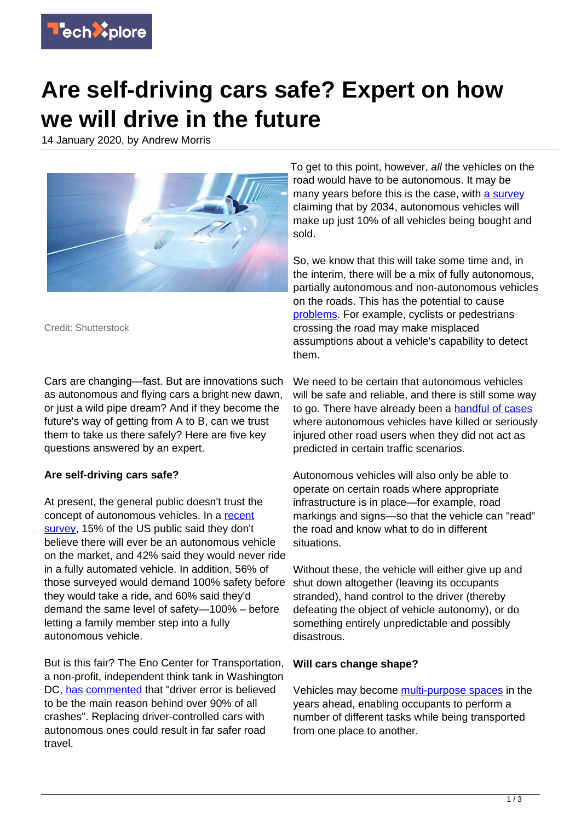

# **Are self-driving cars safe? Expert on how we will drive in the future**

14 January 2020, by Andrew Morris



Credit: Shutterstock

Cars are changing—fast. But are innovations such as autonomous and flying cars a bright new dawn, or just a wild pipe dream? And if they become the future's way of getting from A to B, can we trust them to take us there safely? Here are five key questions answered by an expert.

# **Are self-driving cars safe?**

At present, the general public doesn't trust the concept of autonomous vehicles. In a [recent](https://www.cnbc.com/2018/10/14/self-driving-cars-take-to-the-road-but-not-everyone-is-ready-to-ride.html) [survey,](https://www.cnbc.com/2018/10/14/self-driving-cars-take-to-the-road-but-not-everyone-is-ready-to-ride.html) 15% of the US public said they don't believe there will ever be an autonomous vehicle on the market, and 42% said they would never ride in a fully automated vehicle. In addition, 56% of those surveyed would demand 100% safety before they would take a ride, and 60% said they'd demand the same level of safety—100% – before letting a family member step into a fully autonomous vehicle.

But is this fair? The Eno Center for Transportation, a non-profit, independent think tank in Washington DC, [has commented](https://www.consumerwatchdog.org/driverless-car-debate-how-safe-are-autonomous-vehicles) that "driver error is believed to be the main reason behind over 90% of all crashes". Replacing driver-controlled cars with autonomous ones could result in far safer road travel.

To get to this point, however, all the vehicles on the road would have to be autonomous. It may be many years before this is the case, with [a survey](https://www.cnbc.com/2019/07/29/experts-say-its-at-least-a-decade-before-you-can-buy-a-self-driving-car.html) claiming that by 2034, autonomous vehicles will make up just 10% of all vehicles being bought and sold.

So, we know that this will take some time and, in the interim, there will be a mix of fully autonomous, partially autonomous and non-autonomous vehicles on the roads. This has the potential to cause [problems.](https://www.pnas.org/content/116/16/7684.short?rss=1) For example, cyclists or pedestrians crossing the road may make misplaced assumptions about a vehicle's capability to detect them.

We need to be certain that autonomous vehicles will be safe and reliable, and there is still some way to go. There have already been a [handful of cases](https://www.rac.co.uk/drive/news/motoring-news/uber-self-driving-car-that-killed-pedestrian-had-software-flaws/) where autonomous vehicles have killed or seriously injured other road users when they did not act as predicted in certain traffic scenarios.

Autonomous vehicles will also only be able to operate on certain roads where appropriate infrastructure is in place—for example, road markings and signs—so that the vehicle can "read" the road and know what to do in different situations.

Without these, the vehicle will either give up and shut down altogether (leaving its occupants stranded), hand control to the driver (thereby defeating the object of vehicle autonomy), or do something entirely unpredictable and possibly disastrous.

# **Will cars change shape?**

Vehicles may become [multi-purpose spaces](https://repository.lboro.ac.uk/articles/Re-inventing_the_journey_experience_-_A_multifaceted_framework_to_comfort_in_autonomous_vehicles/9773708) in the years ahead, enabling occupants to perform a number of different tasks while being transported from one place to another.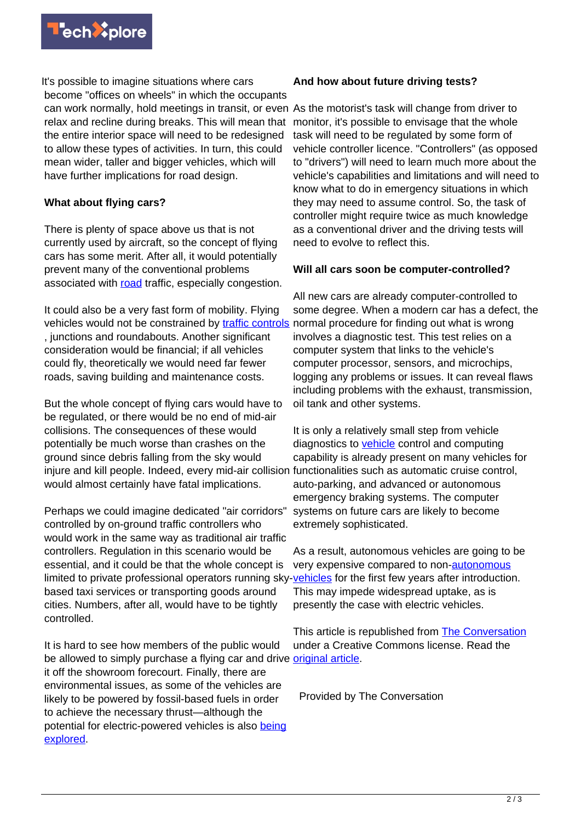

It's possible to imagine situations where cars become "offices on wheels" in which the occupants can work normally, hold meetings in transit, or even As the motorist's task will change from driver to relax and recline during breaks. This will mean that the entire interior space will need to be redesigned to allow these types of activities. In turn, this could mean wider, taller and bigger vehicles, which will have further implications for road design.

## **What about flying cars?**

There is plenty of space above us that is not currently used by aircraft, so the concept of flying cars has some merit. After all, it would potentially prevent many of the conventional problems associated with [road](https://techxplore.com/tags/road/) traffic, especially congestion.

It could also be a very fast form of mobility. Flying vehicles would not be constrained by [traffic controls](https://techxplore.com/tags/traffic+controls/) , junctions and roundabouts. Another significant consideration would be financial; if all vehicles could fly, theoretically we would need far fewer roads, saving building and maintenance costs.

But the whole concept of flying cars would have to be regulated, or there would be no end of mid-air collisions. The consequences of these would potentially be much worse than crashes on the ground since debris falling from the sky would injure and kill people. Indeed, every mid-air collision would almost certainly have fatal implications.

Perhaps we could imagine dedicated "air corridors" controlled by on-ground traffic controllers who would work in the same way as traditional air traffic controllers. Regulation in this scenario would be essential, and it could be that the whole concept is limited to private professional operators running sky-[vehicles](https://techxplore.com/tags/autonomous+vehicles/) for the first few years after introduction. based taxi services or transporting goods around cities. Numbers, after all, would have to be tightly controlled.

It is hard to see how members of the public would be allowed to simply purchase a flying car and drive *[original article](https://theconversation.com/are-self-driving-cars-safe-expert-on-how-we-will-drive-in-the-future-128644)*. it off the showroom forecourt. Finally, there are environmental issues, as some of the vehicles are likely to be powered by fossil-based fuels in order to achieve the necessary thrust—although the potential for electric-powered vehicles is also [being](https://www.researchgate.net/publication/319254709_A_New_VTOL_Propelled_Wing_for_Flying_Cars_Critical_Bibliographic_Analysis) [explored.](https://www.researchgate.net/publication/319254709_A_New_VTOL_Propelled_Wing_for_Flying_Cars_Critical_Bibliographic_Analysis)

### **And how about future driving tests?**

monitor, it's possible to envisage that the whole task will need to be regulated by some form of vehicle controller licence. "Controllers" (as opposed to "drivers") will need to learn much more about the vehicle's capabilities and limitations and will need to know what to do in emergency situations in which they may need to assume control. So, the task of controller might require twice as much knowledge as a conventional driver and the driving tests will need to evolve to reflect this.

### **Will all cars soon be computer-controlled?**

All new cars are already computer-controlled to some degree. When a modern car has a defect, the normal procedure for finding out what is wrong involves a diagnostic test. This test relies on a computer system that links to the vehicle's computer processor, sensors, and microchips, logging any problems or issues. It can reveal flaws including problems with the exhaust, transmission, oil tank and other systems.

It is only a relatively small step from vehicle diagnostics to [vehicle](https://techxplore.com/tags/vehicle/) control and computing capability is already present on many vehicles for functionalities such as automatic cruise control, auto-parking, and advanced or autonomous emergency braking systems. The computer systems on future cars are likely to become extremely sophisticated.

As a result, autonomous vehicles are going to be very expensive compared to non[-autonomous](https://techxplore.com/tags/autonomous+vehicles/) This may impede widespread uptake, as is presently the case with electric vehicles.

This article is republished from [The Conversation](http://theconversation.com) under a Creative Commons license. Read the

Provided by The Conversation